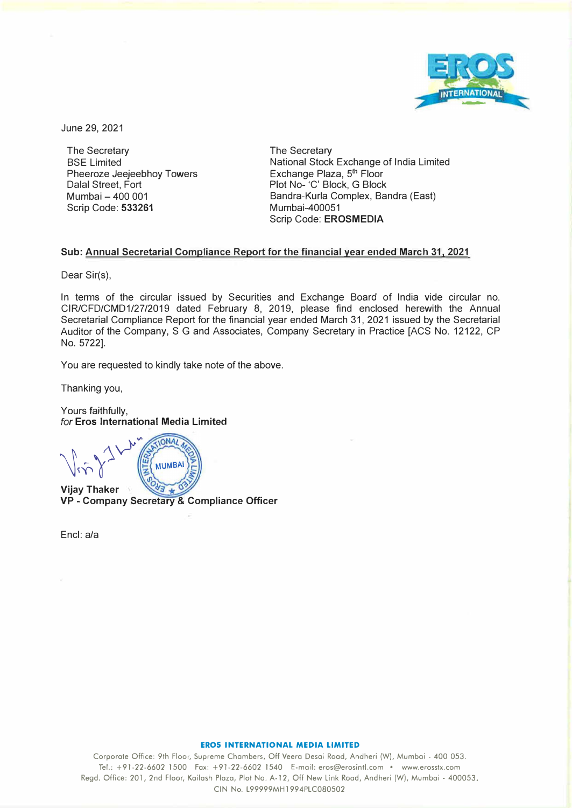

June 29, 2021

The Secretary BSE Limited Pheeroze Jeejeebhoy Towers Dalal Street, Fort Mumbai - 400 001 Scrip Code: **533261** 

The Secretary National Stock Exchange of India Limited Exchange Plaza, 5<sup>th</sup> Floor Plot No- 'C' Block, G Block Bandra-Kurla Complex, Bandra (East) Mumbai-400051 Scrip Code: **EROSMEDIA** 

## **Sub: Annual Secretarial Compliance Report for the financial year ended March 31, 2021**

Dear Sir(s),

In terms of the circular issued by Securities and Exchange Board of India vide circular no. CIR/CFD/CMD1/27/2019 dated February 8, 2019, please find enclosed herewith the Annual Secretarial Compliance Report for the financial year ended March 31, 2021 issued by the Secretarial Auditor of the Company, S G and Associates, Company Secretary in Practice [ACS No. 12122, CP No. 5722].

You are requested to kindly take note of the above.

Thanking you,

Yours faithfully, *for* **Eros International Media Limited** 

 $\sqrt{\dot{m}}\,^2$ **MUMBA Vijay Thaker** 

**VP** - **Company Secretary** & **Compliance Officer** 

Encl: a/a

## **EROS INTERNATIONAL MEDIA LIMITED**

Corporate Office: 9th Floor, Supreme Chambers, Off Veera Desai Road, Andheri (W), Mumbai - 400 053. Tel.: +91-22-6602 1500 Fax: +91-22-6602 1540 E-mail: eros@erosintl.com • www.erosstx.com Regd. Office: 201, 2nd Floor, Koilosh Plaza, Plo1 No. A-12, Off New Link Road, Andheri (W), Mumbai - 400053. CIN No. L99999MH1994PLC080502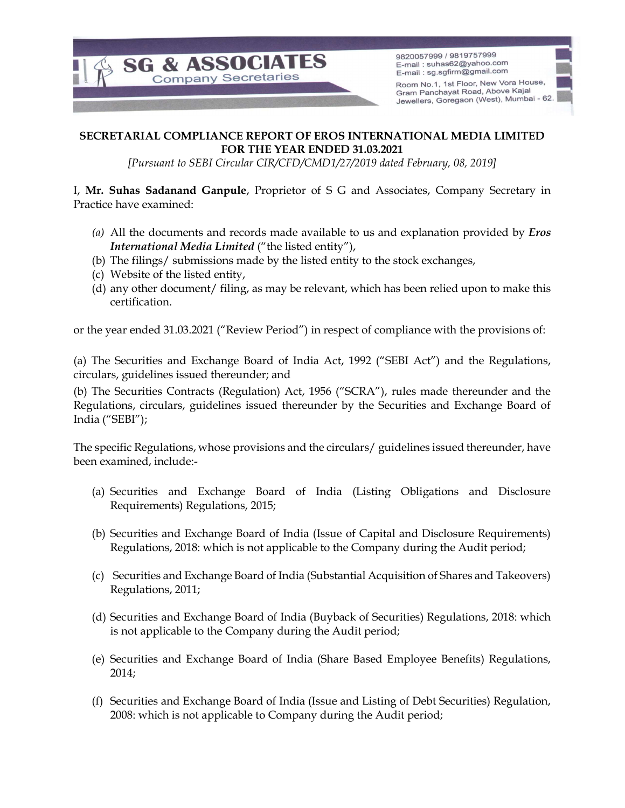

9820057999 / 9819757999 E-mail: suhas62@yahoo.com E-mail: sg.sgfirm@gmail.com

Room No.1, 1st Floor, New Vora House, Gram Panchayat Road, Above Kajal Jewellers, Goregaon (West), Mumbai - 62.

## SECRETARIAL COMPLIANCE REPORT OF EROS INTERNATIONAL MEDIA LIMITED FOR THE YEAR ENDED 31.03.2021

[Pursuant to SEBI Circular CIR/CFD/CMD1/27/2019 dated February, 08, 2019]

I, Mr. Suhas Sadanand Ganpule, Proprietor of S G and Associates, Company Secretary in Practice have examined:

- (a) All the documents and records made available to us and explanation provided by  $Eros$ International Media Limited ("the listed entity"),
- (b) The filings/ submissions made by the listed entity to the stock exchanges,
- (c) Website of the listed entity,
- (d) any other document/ filing, as may be relevant, which has been relied upon to make this certification.

or the year ended 31.03.2021 ("Review Period") in respect of compliance with the provisions of:

(a) The Securities and Exchange Board of India Act, 1992 ("SEBI Act") and the Regulations, circulars, guidelines issued thereunder; and

(b) The Securities Contracts (Regulation) Act, 1956 ("SCRA"), rules made thereunder and the Regulations, circulars, guidelines issued thereunder by the Securities and Exchange Board of India ("SEBI");

The specific Regulations, whose provisions and the circulars/ guidelines issued thereunder, have been examined, include:-

- (a) Securities and Exchange Board of India (Listing Obligations and Disclosure Requirements) Regulations, 2015;
- (b) Securities and Exchange Board of India (Issue of Capital and Disclosure Requirements) Regulations, 2018: which is not applicable to the Company during the Audit period;
- (c) Securities and Exchange Board of India (Substantial Acquisition of Shares and Takeovers) Regulations, 2011;
- (d) Securities and Exchange Board of India (Buyback of Securities) Regulations, 2018: which is not applicable to the Company during the Audit period;
- (e) Securities and Exchange Board of India (Share Based Employee Benefits) Regulations, 2014;
- (f) Securities and Exchange Board of India (Issue and Listing of Debt Securities) Regulation, 2008: which is not applicable to Company during the Audit period;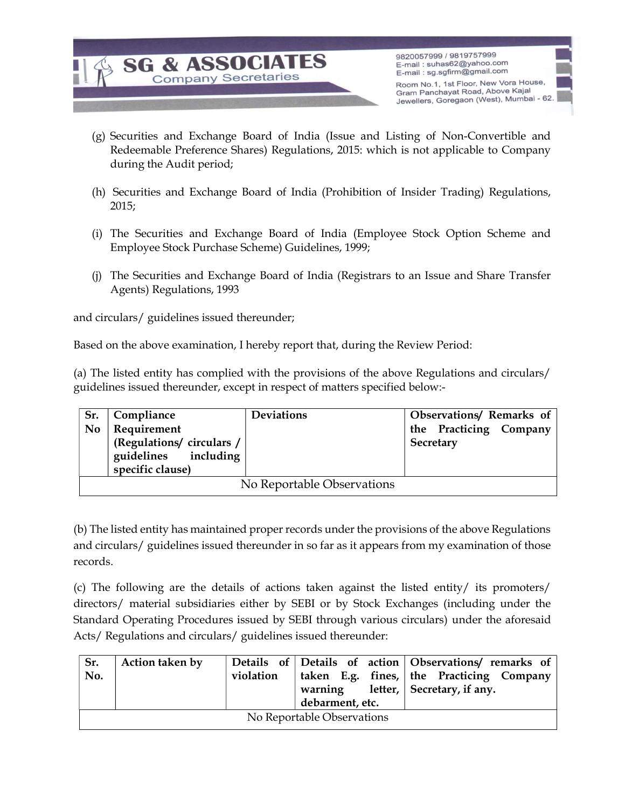

9820057999 / 9819757999 E-mail: suhas62@yahoo.com E-mail: sg.sgfirm@gmail.com

Room No.1, 1st Floor, New Vora House, Gram Panchayat Road, Above Kajal Jewellers, Goregaon (West), Mumbai - 62.

- (g) Securities and Exchange Board of India (Issue and Listing of Non-Convertible and Redeemable Preference Shares) Regulations, 2015: which is not applicable to Company during the Audit period;
- (h) Securities and Exchange Board of India (Prohibition of Insider Trading) Regulations, 2015;
- (i) The Securities and Exchange Board of India (Employee Stock Option Scheme and Employee Stock Purchase Scheme) Guidelines, 1999;
- (j) The Securities and Exchange Board of India (Registrars to an Issue and Share Transfer Agents) Regulations, 1993

and circulars/ guidelines issued thereunder;

Based on the above examination, I hereby report that, during the Review Period:

(a) The listed entity has complied with the provisions of the above Regulations and circulars/ guidelines issued thereunder, except in respect of matters specified below:-

| Sr.                        | Compliance              | <b>Deviations</b> | Observations/ Remarks of |  |  |  |  |
|----------------------------|-------------------------|-------------------|--------------------------|--|--|--|--|
| <b>No</b>                  | Requirement             |                   | the Practicing Company   |  |  |  |  |
|                            | (Regulations/circulars/ |                   | Secretary                |  |  |  |  |
|                            | guidelines including    |                   |                          |  |  |  |  |
|                            | specific clause)        |                   |                          |  |  |  |  |
| No Reportable Observations |                         |                   |                          |  |  |  |  |

(b) The listed entity has maintained proper records under the provisions of the above Regulations and circulars/ guidelines issued thereunder in so far as it appears from my examination of those records.

(c) The following are the details of actions taken against the listed entity/ its promoters/ directors/ material subsidiaries either by SEBI or by Stock Exchanges (including under the Standard Operating Procedures issued by SEBI through various circulars) under the aforesaid Acts/ Regulations and circulars/ guidelines issued thereunder:

| Sr.<br>No.                 | Action taken by | violation | debarment, etc. |  | Details of Details of action Observations/ remarks of<br>taken E.g. fines, the Practicing Company<br>warning letter, $\vert$ Secretary, if any. |  |  |  |
|----------------------------|-----------------|-----------|-----------------|--|-------------------------------------------------------------------------------------------------------------------------------------------------|--|--|--|
| No Reportable Observations |                 |           |                 |  |                                                                                                                                                 |  |  |  |